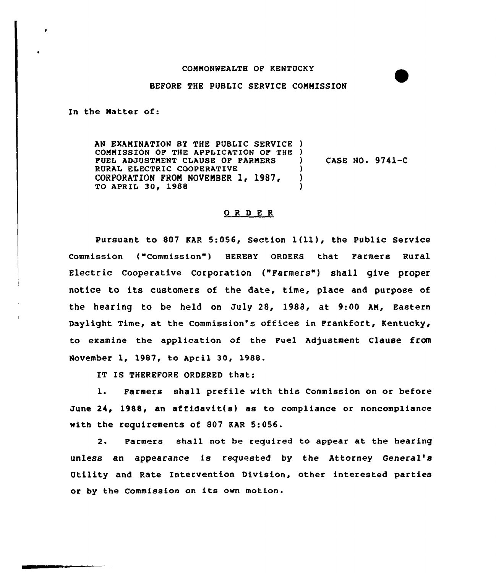## CQNNONWEALTH OP KENTUCKY

## BEFORE THE PUBLIC SERVICE COMMISSION

In the Natter of:

AN EXANINATION BY THE PUBLIC SERVICE ) COMMISSION OP THE APPLICATION OF THE ) PUEL ADJUSTMENT CLAUSE OP PARNERS RURAL ELECTRIC COOPERATIVE CORPORATION FROM NOVEMBER 1, 1987. TO APRIL 30, 1988 ) CASE NO. 9741-C ) ) )

## 0 <sup>R</sup> 0 <sup>E</sup> <sup>R</sup>

Pursuant to <sup>807</sup> KAR 5:056, Section 1(11), the Public Service Commission ("Commission") HEREBY ORDERS that Farmers Rural Electric cooperative corporation ("Farmers" ) shall give proper notice to its customers of the date, time, place and purpose of the hearing to be held on July 28, 1988, at 9:00 AN, Eastern Daylight Time, at the Commission's offices in Frankfort, Kentucky, to examine the application of the Fuel Adjustment Clause from November 1, 1987, to April 30, 1988.

IT IS THEREFORE ORDERED that:

1. Parmers shall prefile with this Commission on or before June 24, 1988, an affidavit(s} as to compliance or noncompliance with the requirements of 807 KAR 5:056.

2. Farmers shall not be required to appear at the hearing unless an appearance is requested by the Attorney General' Utility and Rate Intervention Division, other interested parties or by the Commission on its own motion.